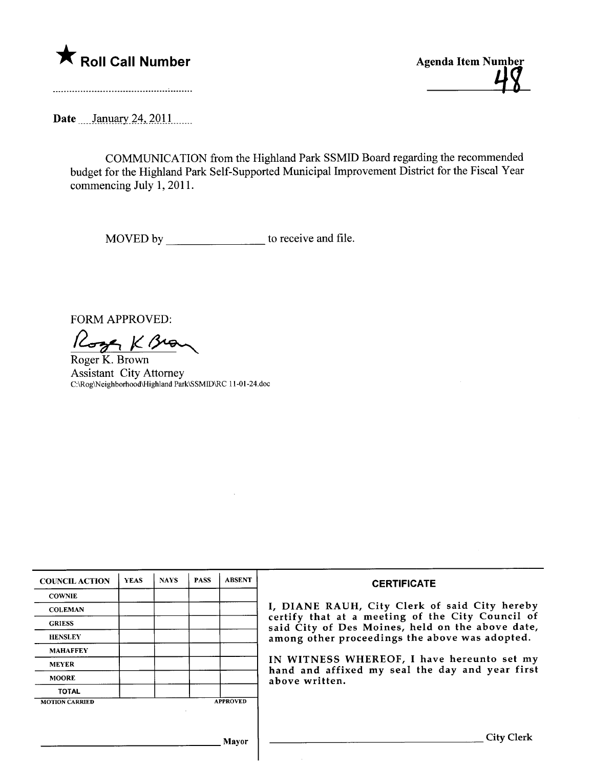

\* Roll Call Number<br>
Agenda Item Number<br>
48

Date January 24, 2011

COMMUNICATION from the Highland Park SSMID Board regarding the recommended budget for the Highland Park Self-Supported Municipal Improvement District for the Fiscal Year commencing July 1, 2011.

MOVED by to receive and file.

FORM APPROVED:

Roger K Brown

Assistant City Attorney C:\Rog\Neighborhood\Highland Park\SSMID\RC 11-01-24.doc

| <b>COUNCIL ACTION</b> | <b>YEAS</b> | <b>NAYS</b> | <b>PASS</b> | <b>ABSENT</b>   | <b>CERTIFICATE</b>                                                                                                                                                                                      |  |  |
|-----------------------|-------------|-------------|-------------|-----------------|---------------------------------------------------------------------------------------------------------------------------------------------------------------------------------------------------------|--|--|
| <b>COWNIE</b>         |             |             |             |                 | I, DIANE RAUH, City Clerk of said City hereby<br>certify that at a meeting of the City Council of<br>said City of Des Moines, held on the above date,<br>among other proceedings the above was adopted. |  |  |
| <b>COLEMAN</b>        |             |             |             |                 |                                                                                                                                                                                                         |  |  |
| <b>GRIESS</b>         |             |             |             |                 |                                                                                                                                                                                                         |  |  |
| <b>HENSLEY</b>        |             |             |             |                 |                                                                                                                                                                                                         |  |  |
| <b>MAHAFFEY</b>       |             |             |             |                 |                                                                                                                                                                                                         |  |  |
| <b>MEYER</b>          |             |             |             |                 | IN WITNESS WHEREOF, I have hereunto set my<br>hand and affixed my seal the day and year first<br>above written.                                                                                         |  |  |
| <b>MOORE</b>          |             |             |             |                 |                                                                                                                                                                                                         |  |  |
| <b>TOTAL</b>          |             |             |             |                 |                                                                                                                                                                                                         |  |  |
| <b>MOTION CARRIED</b> |             |             |             | <b>APPROVED</b> |                                                                                                                                                                                                         |  |  |
|                       |             |             |             |                 |                                                                                                                                                                                                         |  |  |
|                       |             |             |             | Mayor           | <b>City Clerk</b>                                                                                                                                                                                       |  |  |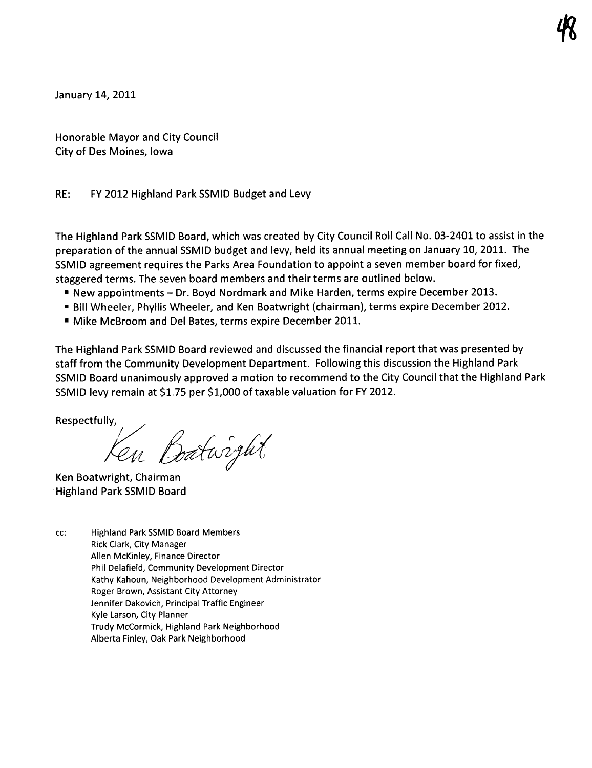January 14, 2011

Honorable Mayor and City Council City of Des Moines, Iowa

## RE: FY 2012 Highland Park SSMID Budget and Levy

The Highland Park SSMID Board, which was created by City Council Roll Call No. 03-2401 to assist in the preparation ofthe annual SSMID budget and levy, held its annual meeting on January 10, 2011. The SSMID agreement requires the Parks Area Foundation to appoint a seven member board for fixed, staggered terms. The seven board members and their terms are outlined below.

- · New appointments Dr. Boyd Nordmark and Mike Harden, terms expire December 2013.
- · Bill Wheeler, Phyllis Wheeler, and Ken Boatwright (chairman), terms expire December 2012.
- · Mike McBroom and Del Bates, terms expire December 2011.

The Highland Park SSMID Board reviewed and discussed the financial report that was presented by staff from the Community Development Department. Following this discussion the Highland Park SSMID Board unanimously approved a motion to recommend to the City Council that the Highland Park SSMID levy remain at \$1.75 per \$1,000 of taxable valuation for FY 2012.

Respectfully,  $\sqrt{a}$ 

Ken Boatwright, Chairman . Highland Park SSMID Board

cc: Highland Park SSMID Board Members Rick Clark, City Manager Allen McKinley, Finance Director Phil Delafield, Community Development Director Kathy Kahoun, Neighborhood Development Administrator Roger Brown, Assistant City Attorney Jennifer Dakovich, Principal Traffic Engineer Kyle Larson, City Planner Trudy McCormick, Highland Park Neighborhood Alberta Finley, Oak Park Neighborhood